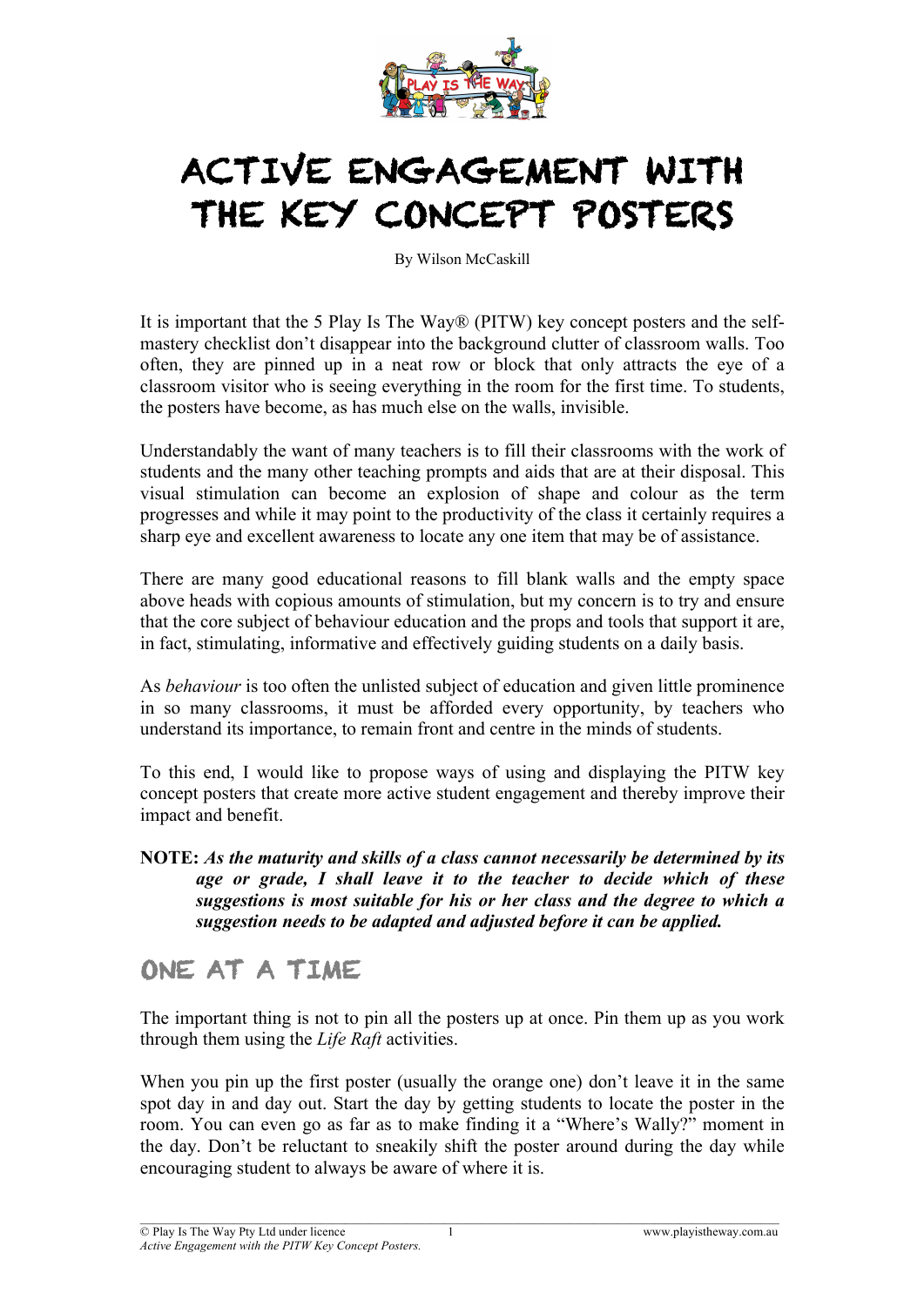

# ACTIVE ENGAGEMENT WITH THE KEY CONCEPT POSTERS

By Wilson McCaskill

It is important that the 5 Play Is The Way® (PITW) key concept posters and the selfmastery checklist don't disappear into the background clutter of classroom walls. Too often, they are pinned up in a neat row or block that only attracts the eye of a classroom visitor who is seeing everything in the room for the first time. To students, the posters have become, as has much else on the walls, invisible.

Understandably the want of many teachers is to fill their classrooms with the work of students and the many other teaching prompts and aids that are at their disposal. This visual stimulation can become an explosion of shape and colour as the term progresses and while it may point to the productivity of the class it certainly requires a sharp eye and excellent awareness to locate any one item that may be of assistance.

There are many good educational reasons to fill blank walls and the empty space above heads with copious amounts of stimulation, but my concern is to try and ensure that the core subject of behaviour education and the props and tools that support it are, in fact, stimulating, informative and effectively guiding students on a daily basis.

As *behaviour* is too often the unlisted subject of education and given little prominence in so many classrooms, it must be afforded every opportunity, by teachers who understand its importance, to remain front and centre in the minds of students.

To this end, I would like to propose ways of using and displaying the PITW key concept posters that create more active student engagement and thereby improve their impact and benefit.

**NOTE:** *As the maturity and skills of a class cannot necessarily be determined by its age or grade, I shall leave it to the teacher to decide which of these suggestions is most suitable for his or her class and the degree to which a suggestion needs to be adapted and adjusted before it can be applied.*

## ONE AT A TIME

The important thing is not to pin all the posters up at once. Pin them up as you work through them using the *Life Raft* activities.

When you pin up the first poster (usually the orange one) don't leave it in the same spot day in and day out. Start the day by getting students to locate the poster in the room. You can even go as far as to make finding it a "Where's Wally?" moment in the day. Don't be reluctant to sneakily shift the poster around during the day while encouraging student to always be aware of where it is.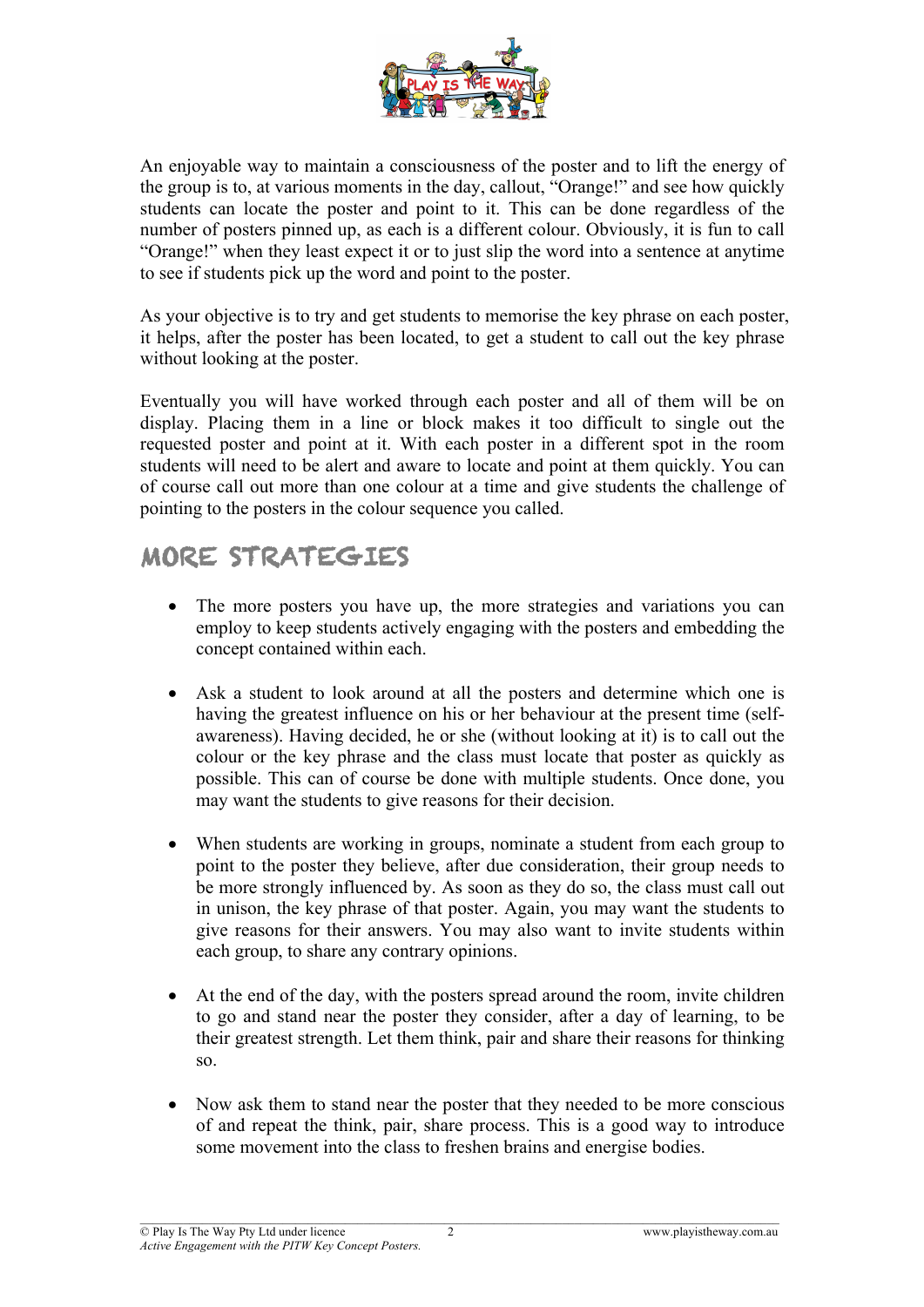

An enjoyable way to maintain a consciousness of the poster and to lift the energy of the group is to, at various moments in the day, callout, "Orange!" and see how quickly students can locate the poster and point to it. This can be done regardless of the number of posters pinned up, as each is a different colour. Obviously, it is fun to call "Orange!" when they least expect it or to just slip the word into a sentence at anytime to see if students pick up the word and point to the poster.

As your objective is to try and get students to memorise the key phrase on each poster, it helps, after the poster has been located, to get a student to call out the key phrase without looking at the poster.

Eventually you will have worked through each poster and all of them will be on display. Placing them in a line or block makes it too difficult to single out the requested poster and point at it. With each poster in a different spot in the room students will need to be alert and aware to locate and point at them quickly. You can of course call out more than one colour at a time and give students the challenge of pointing to the posters in the colour sequence you called.

## MORE STRATEGIES

- The more posters you have up, the more strategies and variations you can employ to keep students actively engaging with the posters and embedding the concept contained within each.
- Ask a student to look around at all the posters and determine which one is having the greatest influence on his or her behaviour at the present time (selfawareness). Having decided, he or she (without looking at it) is to call out the colour or the key phrase and the class must locate that poster as quickly as possible. This can of course be done with multiple students. Once done, you may want the students to give reasons for their decision.
- When students are working in groups, nominate a student from each group to point to the poster they believe, after due consideration, their group needs to be more strongly influenced by. As soon as they do so, the class must call out in unison, the key phrase of that poster. Again, you may want the students to give reasons for their answers. You may also want to invite students within each group, to share any contrary opinions.
- At the end of the day, with the posters spread around the room, invite children to go and stand near the poster they consider, after a day of learning, to be their greatest strength. Let them think, pair and share their reasons for thinking so.
- Now ask them to stand near the poster that they needed to be more conscious of and repeat the think, pair, share process. This is a good way to introduce some movement into the class to freshen brains and energise bodies.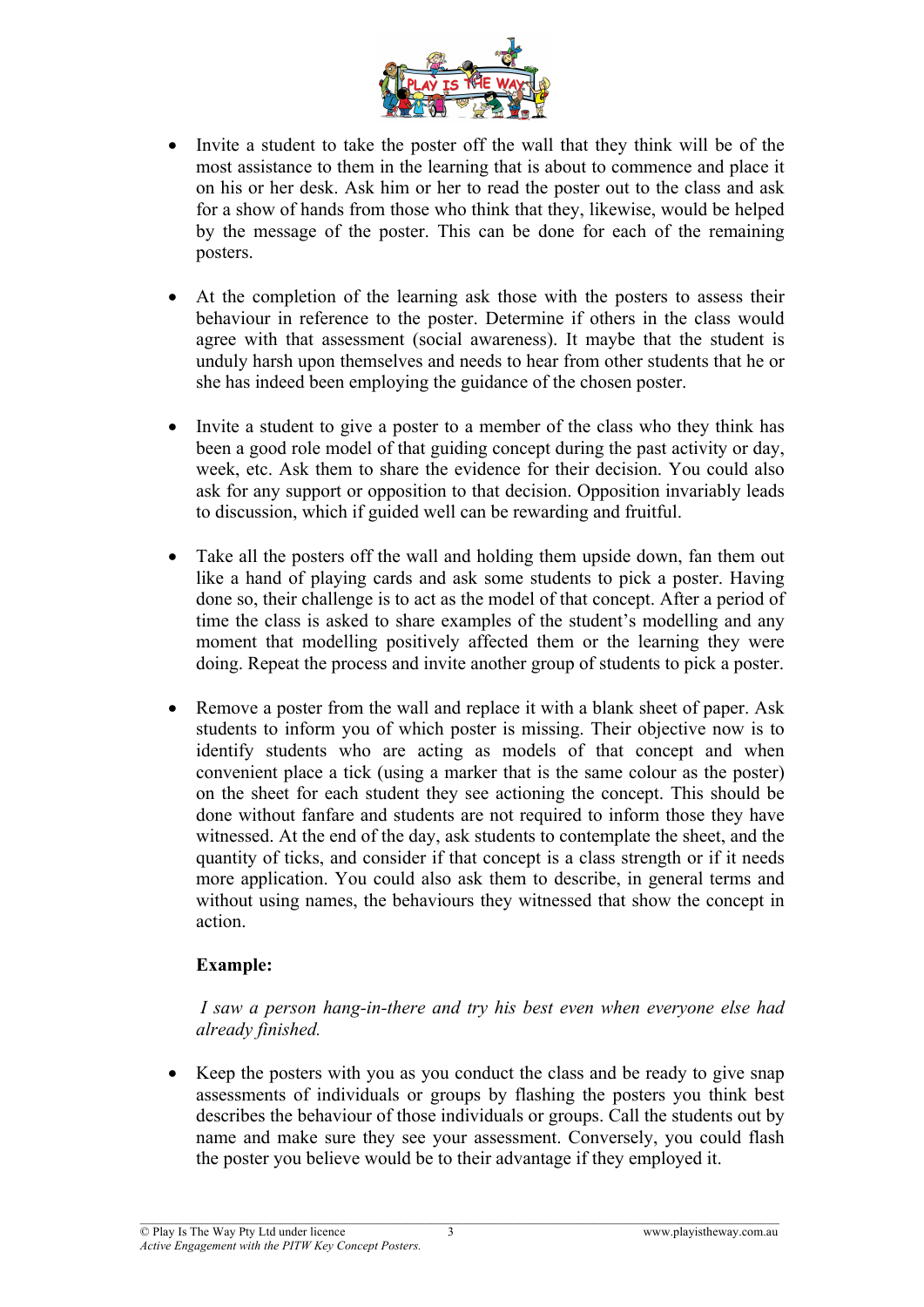

- Invite a student to take the poster off the wall that they think will be of the most assistance to them in the learning that is about to commence and place it on his or her desk. Ask him or her to read the poster out to the class and ask for a show of hands from those who think that they, likewise, would be helped by the message of the poster. This can be done for each of the remaining posters.
- At the completion of the learning ask those with the posters to assess their behaviour in reference to the poster. Determine if others in the class would agree with that assessment (social awareness). It maybe that the student is unduly harsh upon themselves and needs to hear from other students that he or she has indeed been employing the guidance of the chosen poster.
- Invite a student to give a poster to a member of the class who they think has been a good role model of that guiding concept during the past activity or day, week, etc. Ask them to share the evidence for their decision. You could also ask for any support or opposition to that decision. Opposition invariably leads to discussion, which if guided well can be rewarding and fruitful.
- Take all the posters off the wall and holding them upside down, fan them out like a hand of playing cards and ask some students to pick a poster. Having done so, their challenge is to act as the model of that concept. After a period of time the class is asked to share examples of the student's modelling and any moment that modelling positively affected them or the learning they were doing. Repeat the process and invite another group of students to pick a poster.
- Remove a poster from the wall and replace it with a blank sheet of paper. Ask students to inform you of which poster is missing. Their objective now is to identify students who are acting as models of that concept and when convenient place a tick (using a marker that is the same colour as the poster) on the sheet for each student they see actioning the concept. This should be done without fanfare and students are not required to inform those they have witnessed. At the end of the day, ask students to contemplate the sheet, and the quantity of ticks, and consider if that concept is a class strength or if it needs more application. You could also ask them to describe, in general terms and without using names, the behaviours they witnessed that show the concept in action.

#### **Example:**

*I saw a person hang-in-there and try his best even when everyone else had already finished.*

• Keep the posters with you as you conduct the class and be ready to give snap assessments of individuals or groups by flashing the posters you think best describes the behaviour of those individuals or groups. Call the students out by name and make sure they see your assessment. Conversely, you could flash the poster you believe would be to their advantage if they employed it.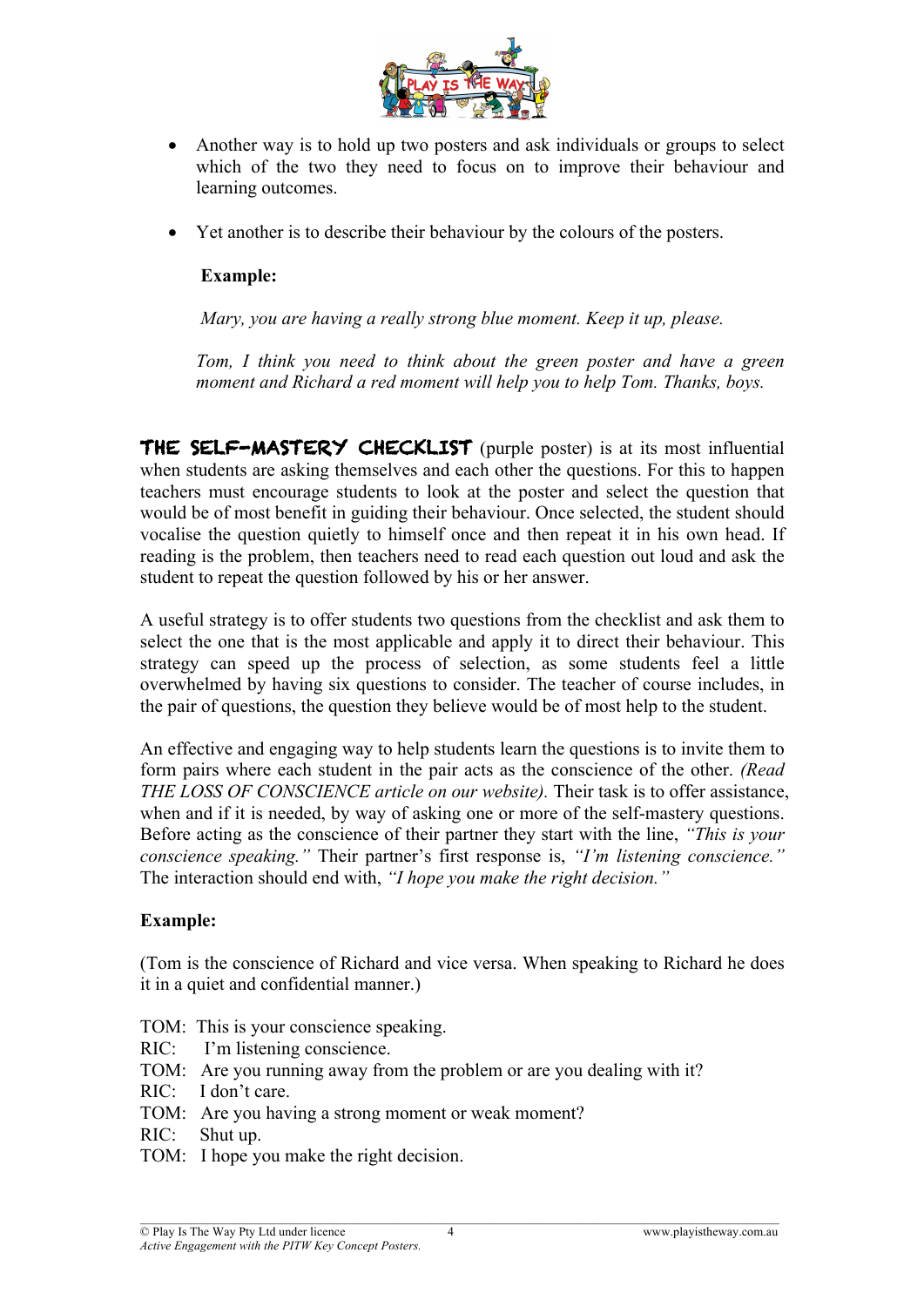

- Another way is to hold up two posters and ask individuals or groups to select which of the two they need to focus on to improve their behaviour and learning outcomes.
- Yet another is to describe their behaviour by the colours of the posters.

#### **Example:**

*Mary, you are having a really strong blue moment. Keep it up, please.*

*Tom, I think you need to think about the green poster and have a green moment and Richard a red moment will help you to help Tom. Thanks, boys.*

THE SELF-MASTERY CHECKLIST (purple poster) is at its most influential when students are asking themselves and each other the questions. For this to happen teachers must encourage students to look at the poster and select the question that would be of most benefit in guiding their behaviour. Once selected, the student should vocalise the question quietly to himself once and then repeat it in his own head. If reading is the problem, then teachers need to read each question out loud and ask the student to repeat the question followed by his or her answer.

A useful strategy is to offer students two questions from the checklist and ask them to select the one that is the most applicable and apply it to direct their behaviour. This strategy can speed up the process of selection, as some students feel a little overwhelmed by having six questions to consider. The teacher of course includes, in the pair of questions, the question they believe would be of most help to the student.

An effective and engaging way to help students learn the questions is to invite them to form pairs where each student in the pair acts as the conscience of the other. *(Read THE LOSS OF CONSCIENCE article on our website).* Their task is to offer assistance, when and if it is needed, by way of asking one or more of the self-mastery questions. Before acting as the conscience of their partner they start with the line, *"This is your conscience speaking."* Their partner's first response is, *"I'm listening conscience."* The interaction should end with, *"I hope you make the right decision."* 

### **Example:**

(Tom is the conscience of Richard and vice versa. When speaking to Richard he does it in a quiet and confidential manner.)

- TOM: This is your conscience speaking.
- RIC: I'm listening conscience.
- TOM: Are you running away from the problem or are you dealing with it?

- RIC: I don't care.
- TOM: Are you having a strong moment or weak moment?
- RIC: Shut up.
- TOM: I hope you make the right decision.